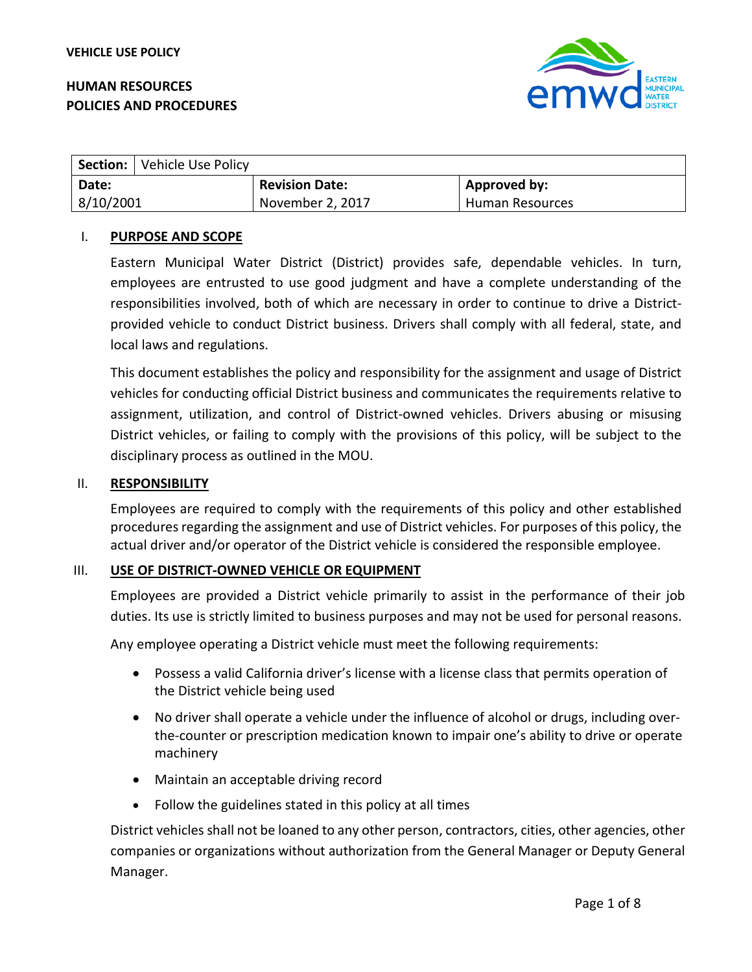# **HUMAN RESOURCES POLICIES AND PROCEDURES**



|           | Section:   Vehicle Use Policy |                       |                     |
|-----------|-------------------------------|-----------------------|---------------------|
| Date:     |                               | <b>Revision Date:</b> | <b>Approved by:</b> |
| 8/10/2001 |                               | November 2, 2017      | Human Resources     |

### I. **PURPOSE AND SCOPE**

Eastern Municipal Water District (District) provides safe, dependable vehicles. In turn, employees are entrusted to use good judgment and have a complete understanding of the responsibilities involved, both of which are necessary in order to continue to drive a Districtprovided vehicle to conduct District business. Drivers shall comply with all federal, state, and local laws and regulations.

This document establishes the policy and responsibility for the assignment and usage of District vehicles for conducting official District business and communicates the requirements relative to assignment, utilization, and control of District-owned vehicles. Drivers abusing or misusing District vehicles, or failing to comply with the provisions of this policy, will be subject to the disciplinary process as outlined in the MOU.

#### II. **RESPONSIBILITY**

Employees are required to comply with the requirements of this policy and other established procedures regarding the assignment and use of District vehicles. For purposes of this policy, the actual driver and/or operator of the District vehicle is considered the responsible employee.

### III. **USE OF DISTRICT-OWNED VEHICLE OR EQUIPMENT**

Employees are provided a District vehicle primarily to assist in the performance of their job duties. Its use is strictly limited to business purposes and may not be used for personal reasons.

Any employee operating a District vehicle must meet the following requirements:

- Possess a valid California driver's license with a license class that permits operation of the District vehicle being used
- No driver shall operate a vehicle under the influence of alcohol or drugs, including overthe-counter or prescription medication known to impair one's ability to drive or operate machinery
- Maintain an acceptable driving record
- Follow the guidelines stated in this policy at all times

District vehicles shall not be loaned to any other person, contractors, cities, other agencies, other companies or organizations without authorization from the General Manager or Deputy General Manager.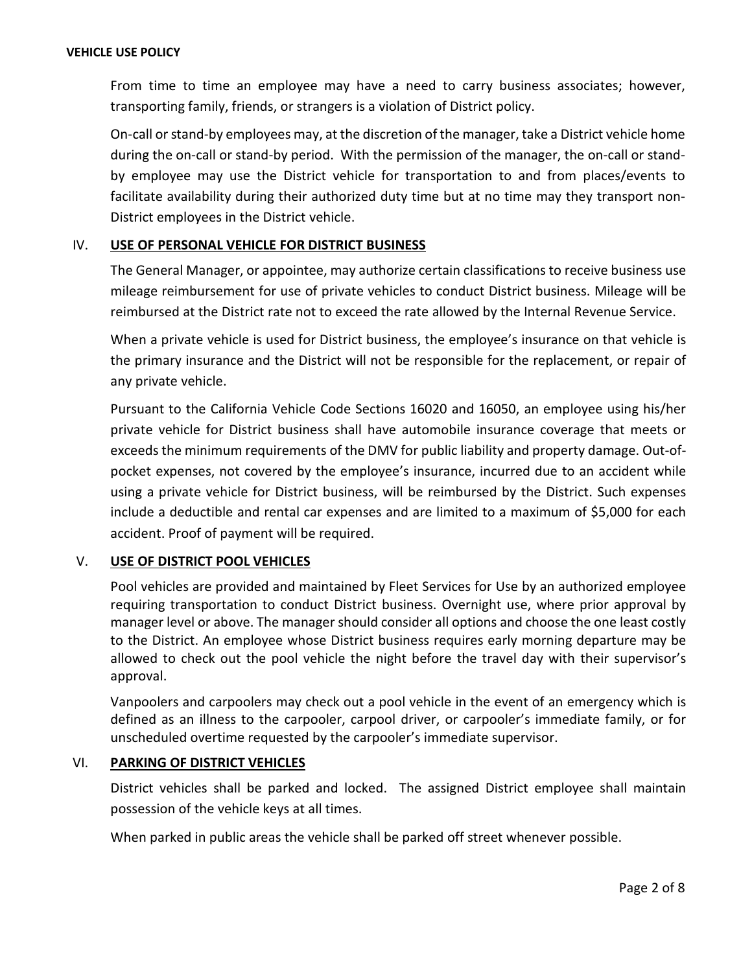From time to time an employee may have a need to carry business associates; however, transporting family, friends, or strangers is a violation of District policy.

On-call or stand-by employees may, at the discretion of the manager, take a District vehicle home during the on-call or stand-by period. With the permission of the manager, the on-call or standby employee may use the District vehicle for transportation to and from places/events to facilitate availability during their authorized duty time but at no time may they transport non-District employees in the District vehicle.

## IV. **USE OF PERSONAL VEHICLE FOR DISTRICT BUSINESS**

The General Manager, or appointee, may authorize certain classifications to receive business use mileage reimbursement for use of private vehicles to conduct District business. Mileage will be reimbursed at the District rate not to exceed the rate allowed by the Internal Revenue Service.

When a private vehicle is used for District business, the employee's insurance on that vehicle is the primary insurance and the District will not be responsible for the replacement, or repair of any private vehicle.

Pursuant to the California Vehicle Code Sections 16020 and 16050, an employee using his/her private vehicle for District business shall have automobile insurance coverage that meets or exceeds the minimum requirements of the DMV for public liability and property damage. Out-ofpocket expenses, not covered by the employee's insurance, incurred due to an accident while using a private vehicle for District business, will be reimbursed by the District. Such expenses include a deductible and rental car expenses and are limited to a maximum of \$5,000 for each accident. Proof of payment will be required.

# V. **USE OF DISTRICT POOL VEHICLES**

Pool vehicles are provided and maintained by Fleet Services for Use by an authorized employee requiring transportation to conduct District business. Overnight use, where prior approval by manager level or above. The manager should consider all options and choose the one least costly to the District. An employee whose District business requires early morning departure may be allowed to check out the pool vehicle the night before the travel day with their supervisor's approval.

Vanpoolers and carpoolers may check out a pool vehicle in the event of an emergency which is defined as an illness to the carpooler, carpool driver, or carpooler's immediate family, or for unscheduled overtime requested by the carpooler's immediate supervisor.

### VI. **PARKING OF DISTRICT VEHICLES**

District vehicles shall be parked and locked. The assigned District employee shall maintain possession of the vehicle keys at all times.

When parked in public areas the vehicle shall be parked off street whenever possible.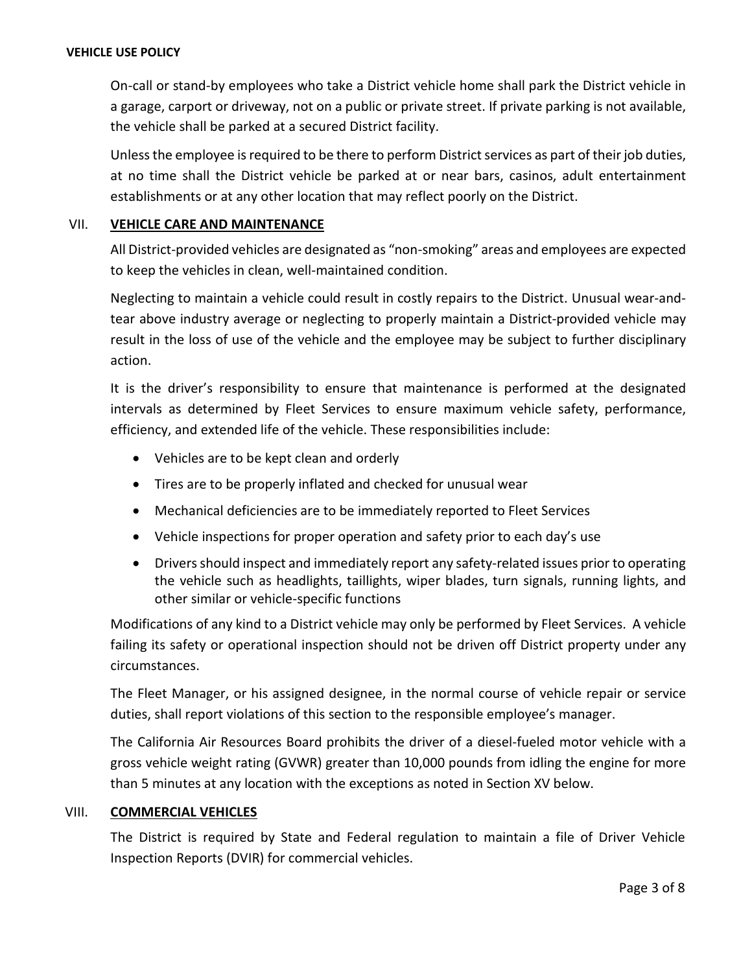#### **VEHICLE USE POLICY**

On-call or stand-by employees who take a District vehicle home shall park the District vehicle in a garage, carport or driveway, not on a public or private street. If private parking is not available, the vehicle shall be parked at a secured District facility.

Unless the employee is required to be there to perform District services as part of their job duties, at no time shall the District vehicle be parked at or near bars, casinos, adult entertainment establishments or at any other location that may reflect poorly on the District.

### VII. **VEHICLE CARE AND MAINTENANCE**

All District-provided vehicles are designated as "non-smoking" areas and employees are expected to keep the vehicles in clean, well-maintained condition.

Neglecting to maintain a vehicle could result in costly repairs to the District. Unusual wear-andtear above industry average or neglecting to properly maintain a District-provided vehicle may result in the loss of use of the vehicle and the employee may be subject to further disciplinary action.

It is the driver's responsibility to ensure that maintenance is performed at the designated intervals as determined by Fleet Services to ensure maximum vehicle safety, performance, efficiency, and extended life of the vehicle. These responsibilities include:

- Vehicles are to be kept clean and orderly
- Tires are to be properly inflated and checked for unusual wear
- Mechanical deficiencies are to be immediately reported to Fleet Services
- Vehicle inspections for proper operation and safety prior to each day's use
- Drivers should inspect and immediately report any safety-related issues prior to operating the vehicle such as headlights, taillights, wiper blades, turn signals, running lights, and other similar or vehicle-specific functions

Modifications of any kind to a District vehicle may only be performed by Fleet Services. A vehicle failing its safety or operational inspection should not be driven off District property under any circumstances.

The Fleet Manager, or his assigned designee, in the normal course of vehicle repair or service duties, shall report violations of this section to the responsible employee's manager.

The California Air Resources Board prohibits the driver of a diesel-fueled motor vehicle with a gross vehicle weight rating (GVWR) greater than 10,000 pounds from idling the engine for more than 5 minutes at any location with the exceptions as noted in Section XV below.

### VIII. **COMMERCIAL VEHICLES**

The District is required by State and Federal regulation to maintain a file of Driver Vehicle Inspection Reports (DVIR) for commercial vehicles.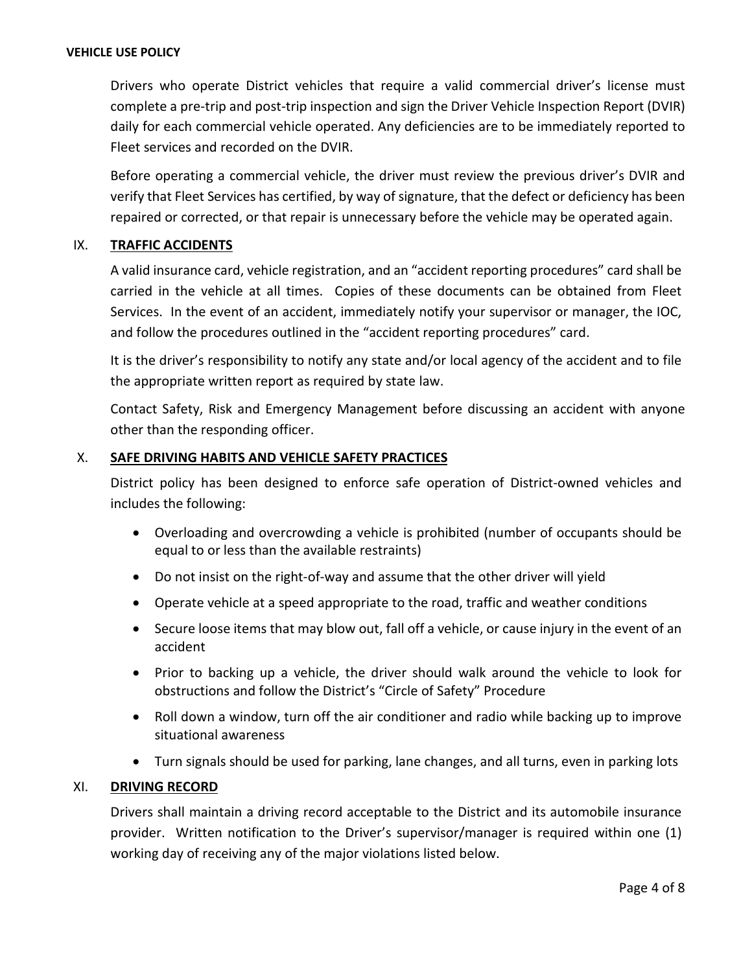Drivers who operate District vehicles that require a valid commercial driver's license must complete a pre-trip and post-trip inspection and sign the Driver Vehicle Inspection Report (DVIR) daily for each commercial vehicle operated. Any deficiencies are to be immediately reported to Fleet services and recorded on the DVIR.

Before operating a commercial vehicle, the driver must review the previous driver's DVIR and verify that Fleet Services has certified, by way of signature, that the defect or deficiency has been repaired or corrected, or that repair is unnecessary before the vehicle may be operated again.

## IX. **TRAFFIC ACCIDENTS**

A valid insurance card, vehicle registration, and an "accident reporting procedures" card shall be carried in the vehicle at all times. Copies of these documents can be obtained from Fleet Services. In the event of an accident, immediately notify your supervisor or manager, the IOC, and follow the procedures outlined in the "accident reporting procedures" card.

It is the driver's responsibility to notify any state and/or local agency of the accident and to file the appropriate written report as required by state law.

Contact Safety, Risk and Emergency Management before discussing an accident with anyone other than the responding officer.

## X. **SAFE DRIVING HABITS AND VEHICLE SAFETY PRACTICES**

District policy has been designed to enforce safe operation of District-owned vehicles and includes the following:

- Overloading and overcrowding a vehicle is prohibited (number of occupants should be equal to or less than the available restraints)
- Do not insist on the right-of-way and assume that the other driver will yield
- Operate vehicle at a speed appropriate to the road, traffic and weather conditions
- Secure loose items that may blow out, fall off a vehicle, or cause injury in the event of an accident
- Prior to backing up a vehicle, the driver should walk around the vehicle to look for obstructions and follow the District's "Circle of Safety" Procedure
- Roll down a window, turn off the air conditioner and radio while backing up to improve situational awareness
- Turn signals should be used for parking, lane changes, and all turns, even in parking lots

### XI. **DRIVING RECORD**

Drivers shall maintain a driving record acceptable to the District and its automobile insurance provider. Written notification to the Driver's supervisor/manager is required within one (1) working day of receiving any of the major violations listed below.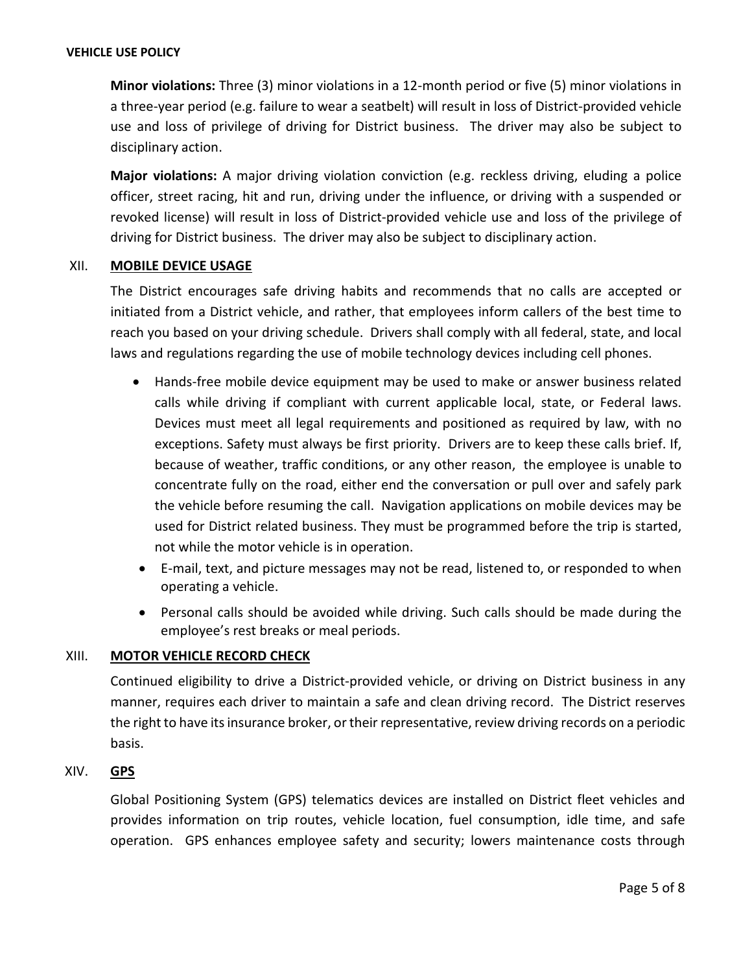#### **VEHICLE USE POLICY**

**Minor violations:** Three (3) minor violations in a 12-month period or five (5) minor violations in a three-year period (e.g. failure to wear a seatbelt) will result in loss of District-provided vehicle use and loss of privilege of driving for District business. The driver may also be subject to disciplinary action.

**Major violations:** A major driving violation conviction (e.g. reckless driving, eluding a police officer, street racing, hit and run, driving under the influence, or driving with a suspended or revoked license) will result in loss of District-provided vehicle use and loss of the privilege of driving for District business. The driver may also be subject to disciplinary action.

### XII. **MOBILE DEVICE USAGE**

The District encourages safe driving habits and recommends that no calls are accepted or initiated from a District vehicle, and rather, that employees inform callers of the best time to reach you based on your driving schedule. Drivers shall comply with all federal, state, and local laws and regulations regarding the use of mobile technology devices including cell phones.

- Hands-free mobile device equipment may be used to make or answer business related calls while driving if compliant with current applicable local, state, or Federal laws. Devices must meet all legal requirements and positioned as required by law, with no exceptions. Safety must always be first priority. Drivers are to keep these calls brief. If, because of weather, traffic conditions, or any other reason, the employee is unable to concentrate fully on the road, either end the conversation or pull over and safely park the vehicle before resuming the call. Navigation applications on mobile devices may be used for District related business. They must be programmed before the trip is started, not while the motor vehicle is in operation.
- E-mail, text, and picture messages may not be read, listened to, or responded to when operating a vehicle.
- Personal calls should be avoided while driving. Such calls should be made during the employee's rest breaks or meal periods.

### XIII. **MOTOR VEHICLE RECORD CHECK**

Continued eligibility to drive a District-provided vehicle, or driving on District business in any manner, requires each driver to maintain a safe and clean driving record. The District reserves the right to have its insurance broker, or their representative, review driving records on a periodic basis.

# XIV. **GPS**

Global Positioning System (GPS) telematics devices are installed on District fleet vehicles and provides information on trip routes, vehicle location, fuel consumption, idle time, and safe operation. GPS enhances employee safety and security; lowers maintenance costs through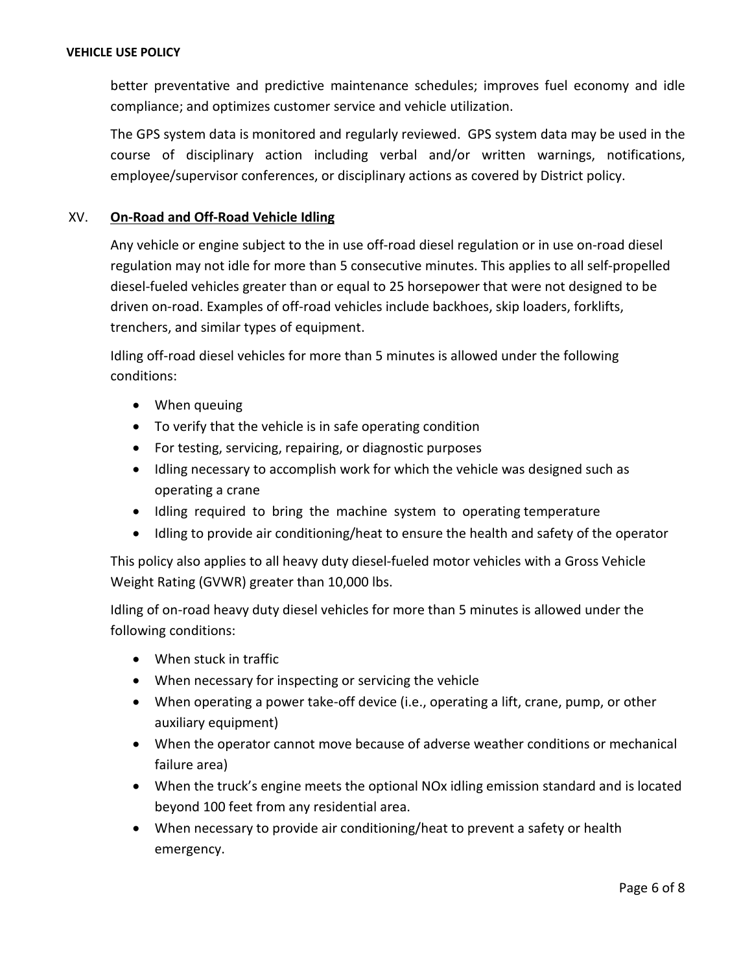better preventative and predictive maintenance schedules; improves fuel economy and idle compliance; and optimizes customer service and vehicle utilization.

The GPS system data is monitored and regularly reviewed. GPS system data may be used in the course of disciplinary action including verbal and/or written warnings, notifications, employee/supervisor conferences, or disciplinary actions as covered by District policy.

# XV. **On-Road and Off-Road Vehicle Idling**

Any vehicle or engine subject to the in use off-road diesel regulation or in use on-road diesel regulation may not idle for more than 5 consecutive minutes. This applies to all self-propelled diesel-fueled vehicles greater than or equal to 25 horsepower that were not designed to be driven on-road. Examples of off-road vehicles include backhoes, skip loaders, forklifts, trenchers, and similar types of equipment.

Idling off-road diesel vehicles for more than 5 minutes is allowed under the following conditions:

- When queuing
- To verify that the vehicle is in safe operating condition
- For testing, servicing, repairing, or diagnostic purposes
- Idling necessary to accomplish work for which the vehicle was designed such as operating a crane
- Idling required to bring the machine system to operating temperature
- Idling to provide air conditioning/heat to ensure the health and safety of the operator

This policy also applies to all heavy duty diesel-fueled motor vehicles with a Gross Vehicle Weight Rating (GVWR) greater than 10,000 lbs.

Idling of on-road heavy duty diesel vehicles for more than 5 minutes is allowed under the following conditions:

- When stuck in traffic
- When necessary for inspecting or servicing the vehicle
- When operating a power take-off device (i.e., operating a lift, crane, pump, or other auxiliary equipment)
- When the operator cannot move because of adverse weather conditions or mechanical failure area)
- When the truck's engine meets the optional NOx idling emission standard and is located beyond 100 feet from any residential area.
- When necessary to provide air conditioning/heat to prevent a safety or health emergency.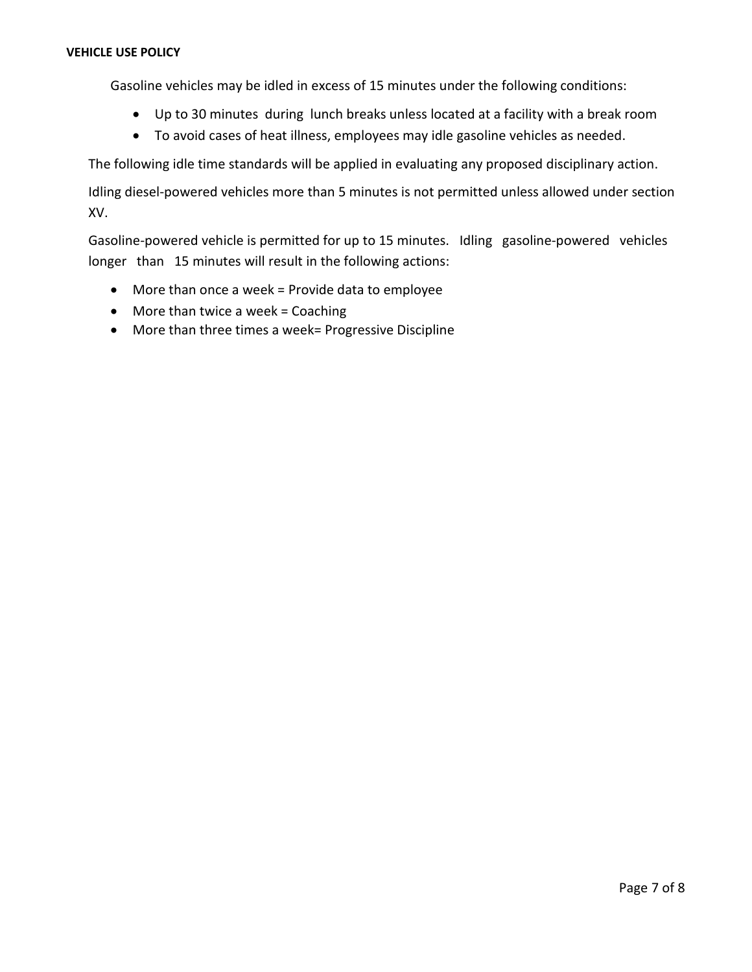Gasoline vehicles may be idled in excess of 15 minutes under the following conditions:

- Up to 30 minutes during lunch breaks unless located at a facility with a break room
- To avoid cases of heat illness, employees may idle gasoline vehicles as needed.

The following idle time standards will be applied in evaluating any proposed disciplinary action.

Idling diesel-powered vehicles more than 5 minutes is not permitted unless allowed under section XV.

Gasoline-powered vehicle is permitted for up to 15 minutes. Idling gasoline-powered vehicles longer than 15 minutes will result in the following actions:

- More than once a week = Provide data to employee
- More than twice a week = Coaching
- More than three times a week= Progressive Discipline